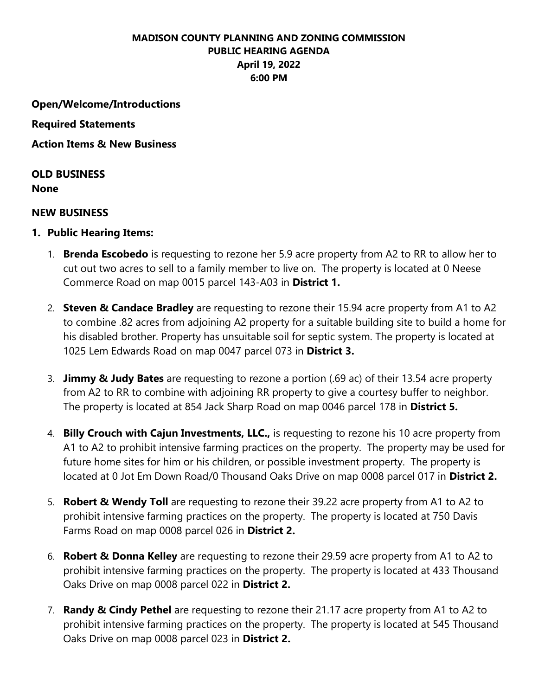## **MADISON COUNTY PLANNING AND ZONING COMMISSION PUBLIC HEARING AGENDA April 19, 2022 6:00 PM**

**Open/Welcome/Introductions**

**Required Statements** 

**Action Items & New Business** 

**OLD BUSINESS**

**None**

## **NEW BUSINESS**

- **1. Public Hearing Items:**
	- 1. **Brenda Escobedo** is requesting to rezone her 5.9 acre property from A2 to RR to allow her to cut out two acres to sell to a family member to live on. The property is located at 0 Neese Commerce Road on map 0015 parcel 143-A03 in **District 1.**
	- 2. **Steven & Candace Bradley** are requesting to rezone their 15.94 acre property from A1 to A2 to combine .82 acres from adjoining A2 property for a suitable building site to build a home for his disabled brother. Property has unsuitable soil for septic system. The property is located at 1025 Lem Edwards Road on map 0047 parcel 073 in **District 3.**
	- 3. **Jimmy & Judy Bates** are requesting to rezone a portion (.69 ac) of their 13.54 acre property from A2 to RR to combine with adjoining RR property to give a courtesy buffer to neighbor. The property is located at 854 Jack Sharp Road on map 0046 parcel 178 in **District 5.**
	- 4. **Billy Crouch with Cajun Investments, LLC.,** is requesting to rezone his 10 acre property from A1 to A2 to prohibit intensive farming practices on the property. The property may be used for future home sites for him or his children, or possible investment property. The property is located at 0 Jot Em Down Road/0 Thousand Oaks Drive on map 0008 parcel 017 in **District 2.**
	- 5. **Robert & Wendy Toll** are requesting to rezone their 39.22 acre property from A1 to A2 to prohibit intensive farming practices on the property. The property is located at 750 Davis Farms Road on map 0008 parcel 026 in **District 2.**
	- 6. **Robert & Donna Kelley** are requesting to rezone their 29.59 acre property from A1 to A2 to prohibit intensive farming practices on the property. The property is located at 433 Thousand Oaks Drive on map 0008 parcel 022 in **District 2.**
	- 7. **Randy & Cindy Pethel** are requesting to rezone their 21.17 acre property from A1 to A2 to prohibit intensive farming practices on the property. The property is located at 545 Thousand Oaks Drive on map 0008 parcel 023 in **District 2.**